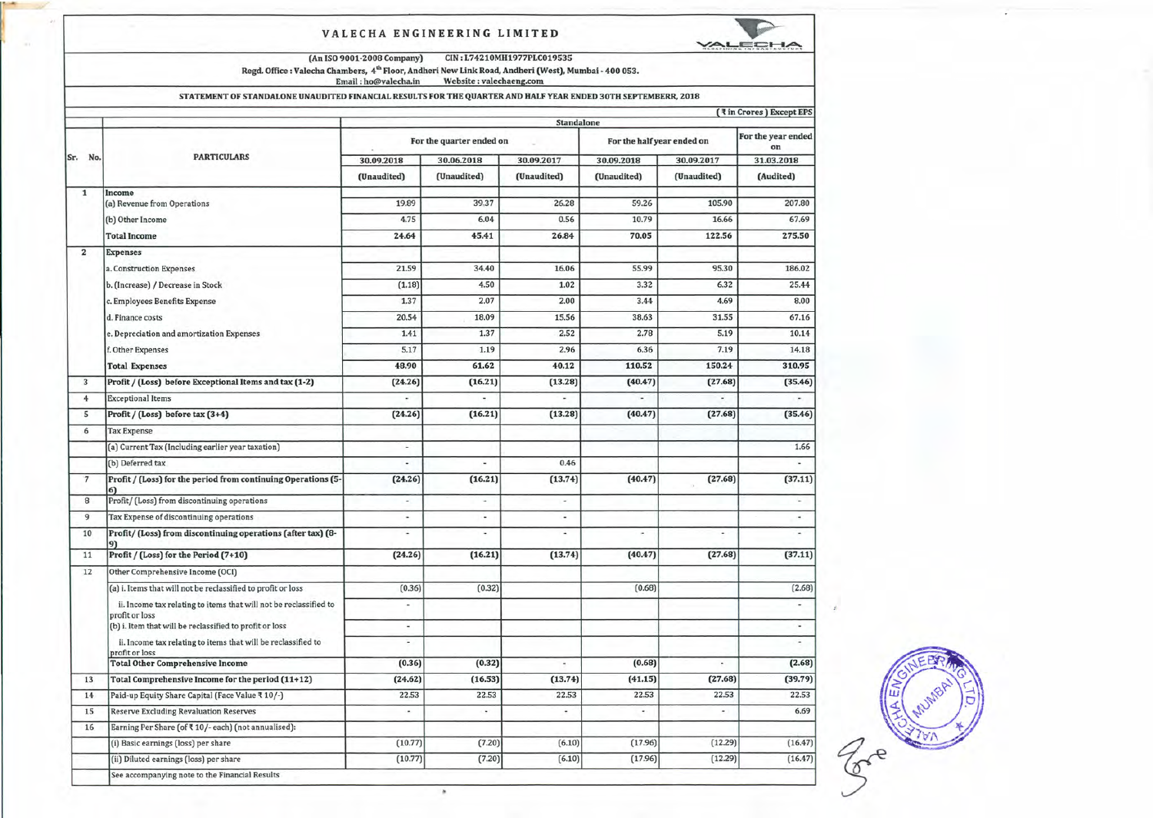### VALECHA ENGINEERING LIMITED



(An ISO9001-2008 Company) CIN: L74210MH1977PLC019535

÷

Regd. Office : Valecha Chambers, 4<sup>m</sup> Floor, Andheri New Link Road, Andheri (West), Mumbai - 400 053.<br>Email : ho@valecha.in Website : valechaeng.com

#### STATEMENT OF STANDALONE UNAUDITED FINANCIAL RESULTS FOR THE QUARTER AND HALF YEAR ENDED 30TH SEPTEMBERR, 2018

|                |                                                                                     |                          |                          | Standalone               |                            |                          |                          |
|----------------|-------------------------------------------------------------------------------------|--------------------------|--------------------------|--------------------------|----------------------------|--------------------------|--------------------------|
|                | <b>PARTICULARS</b>                                                                  | For the quarter ended on |                          |                          | For the half year ended on |                          | For the year ended<br>on |
| Sr. No.        |                                                                                     | 30.06.2018<br>30.09.2018 |                          | 30.09.2017               | 30.09.2018                 | 30.09.2017               | 31.03.2018               |
|                |                                                                                     | (Unaudited)              | (Unaudited)              | (Unaudited)              | (Unaudited)                | (Unaudited)              | (Audited)                |
| $\mathbf{1}$   | Income<br>(a) Revenue from Operations                                               | 19.89                    | 39.37                    | 26.28                    | 59.26                      | 105.90                   | 207.80                   |
|                | (b) Other Income                                                                    | 4.75                     | 6.04                     | 0.56                     | 10.79                      | 16.66                    | 67.69                    |
|                | <b>Total Income</b>                                                                 | 24.64                    | 45.41                    | 26.84                    | 70.05                      | 122.56                   | 275.50                   |
| $\overline{2}$ | <b>Expenses</b>                                                                     |                          |                          |                          |                            |                          |                          |
|                | a. Construction Expenses                                                            | 21.59                    | 34.40                    | 16.06                    | 55.99                      | 95.30                    | 186.02                   |
|                | b. (Increase) / Decrease in Stock                                                   | (1.18)                   | 4.50                     | 1.02                     | 3.32                       | 6.32                     | 25.44                    |
|                | c. Employees Benefits Expense                                                       | 1.37                     | 2.07                     | 2.00                     | 3.44                       | 4.69                     | 8.00                     |
|                | d. Finance costs                                                                    | 20.54                    | 18.09                    | 15.56                    | 38.63                      | 31.55                    | 67.16                    |
|                | e. Depreciation and amortization Expenses                                           | 1.41                     | 1.37                     | 2.52                     | 2.78                       | 5.19                     | 10.14                    |
|                | f. Other Expenses                                                                   | 5.17                     | 1.19                     | 2.96                     | 6.36                       | 7.19                     | 14.18                    |
|                | <b>Total Expenses</b>                                                               | 48.90                    | 61.62                    | 40.12                    | 110.52                     | 150.24                   | 310.95                   |
| 3              | Profit / (Loss) before Exceptional Items and tax (1-2)                              | (24.26)                  | (16.21)                  | (13.28)                  | (40.47)                    | (27.68)                  | (35.46)                  |
| $\overline{4}$ | <b>Exceptional Items</b>                                                            |                          |                          |                          |                            |                          | $\overline{\phantom{a}}$ |
| 5              | Profit / (Loss) before tax (3+4)                                                    | (24.26)                  | (16.21)                  | (13.28)                  | (40.47)                    | (27.68)                  | (35.46)                  |
| 6              | <b>Tax Expense</b>                                                                  |                          |                          |                          |                            |                          |                          |
|                | (a) Current Tax (Including earlier year taxation)                                   | ×                        |                          |                          |                            |                          | 1.66                     |
|                | (b) Deferred tax                                                                    | $\frac{1}{2}$            | u,                       | 0.46                     |                            |                          |                          |
| $\overline{7}$ | Profit / (Loss) for the period from continuing Operations (5-<br>6)                 | (24.26)                  | (16.21)                  | (13.74)                  | (40.47)                    | (27.68)                  | (37.11)                  |
| 8              | Profit/ (Loss) from discontinuing operations                                        | ٠                        | u,                       | ٠                        |                            |                          | u,                       |
| $\overline{9}$ | Tax Expense of discontinuing operations                                             | ٠                        | $\overline{a}$           | ٠                        |                            |                          | ٠                        |
| 10             | Profit/ (Loss) from discontinuing operations (after tax) (8-<br>9)                  | $\overline{\phantom{a}}$ | ٠                        | ٠                        | ٠                          |                          | $\sim$                   |
| 11             | Profit / (Loss) for the Period (7+10)                                               | (24.26)                  | (16.21)                  | (13.74)                  | (40.47)                    | (27.68)                  | (37.11)                  |
| 12             | Other Comprehensive Income (OCI)                                                    |                          |                          |                          |                            |                          |                          |
|                | (a) i. Items that will not be reclassified to profit or loss                        | (0.36)                   | (0.32)                   |                          | (0.68)                     |                          | (2.68)                   |
|                | ii. Income tax relating to items that will not be reclassified to<br>profit or loss |                          |                          |                          |                            |                          |                          |
|                | (b) i. Item that will be reclassified to profit or loss                             | ٠                        |                          |                          |                            |                          | ù,                       |
|                | ii. Income tax relating to items that will be reclassified to<br>profit or loss     | $\overline{\phantom{a}}$ |                          |                          |                            |                          | $\frac{1}{2}$            |
|                | <b>Total Other Comprehensive Income</b>                                             | (0.36)                   | (0.32)                   | ÷                        | (0.68)                     | $\blacksquare$           | (2.68)                   |
| 13             | Total Comprehensive Income for the period (11+12)                                   | (24.62)                  | (16.53)                  | (13.74)                  | (41.15)                    | (27.68)                  | (39.79)                  |
| 14             | Paid-up Equity Share Capital (Face Value ₹ 10/-)                                    | 22.53                    | 22.53                    | 22.53                    | 22.53                      | 22.53                    | 22.53                    |
| 15             | <b>Reserve Excluding Revaluation Reserves</b>                                       | ٠                        | $\overline{\phantom{a}}$ | $\overline{\phantom{a}}$ | $\sim$                     | $\overline{\phantom{a}}$ | 6.69                     |
| 16             | Earning Per Share (of ₹ 10/- each) (not annualised):                                |                          |                          |                          |                            |                          |                          |
|                | (i) Basic earnings (loss) per share                                                 | (10.77)                  | (7.20)                   | (6.10)                   | (17.96)                    | (12.29)                  | (16.47)                  |
|                | (ii) Diluted earnings (loss) per share                                              | (10.77)                  | (7.20)                   | (6.10)                   | (17.96)                    | (12.29)                  | (16.47)                  |

 $25e^{-\frac{(377)}{100}}$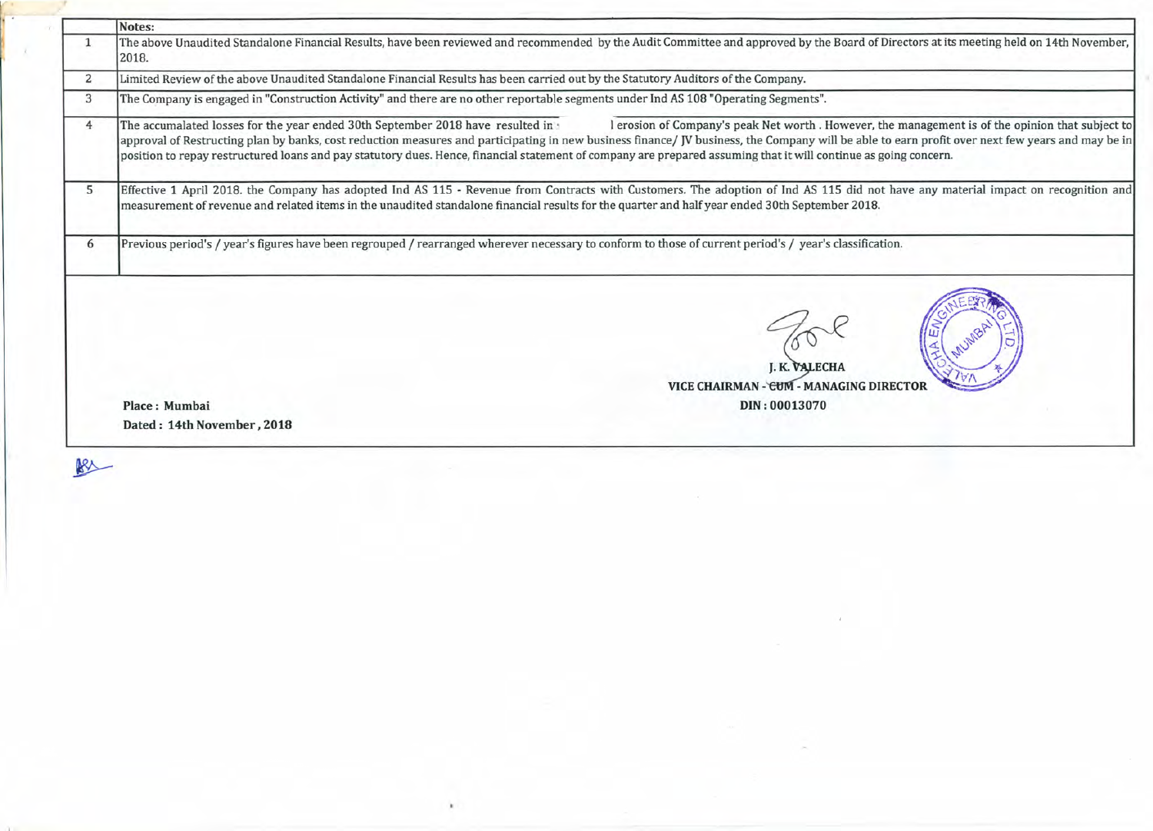|              | Notes:                                                                                                                                                                                                                                                                                                                                                                                                                                                                                                                                                      |  |  |  |  |
|--------------|-------------------------------------------------------------------------------------------------------------------------------------------------------------------------------------------------------------------------------------------------------------------------------------------------------------------------------------------------------------------------------------------------------------------------------------------------------------------------------------------------------------------------------------------------------------|--|--|--|--|
|              | The above Unaudited Standalone Financial Results, have been reviewed and recommended by the Audit Committee and approved by the Board of Directors at its meeting held on 14th November,<br>2018.                                                                                                                                                                                                                                                                                                                                                           |  |  |  |  |
| $\mathbf{2}$ | Limited Review of the above Unaudited Standalone Financial Results has been carried out by the Statutory Auditors of the Company.                                                                                                                                                                                                                                                                                                                                                                                                                           |  |  |  |  |
| 3            | The Company is engaged in "Construction Activity" and there are no other reportable segments under Ind AS 108 "Operating Segments".                                                                                                                                                                                                                                                                                                                                                                                                                         |  |  |  |  |
| 4            | The accumalated losses for the year ended 30th September 2018 have resulted in<br>l erosion of Company's peak Net worth . However, the management is of the opinion that subject to<br>approval of Restructing plan by banks, cost reduction measures and participating in new business finance/ JV business, the Company will be able to earn profit over next few years and may be in<br>position to repay restructured loans and pay statutory dues. Hence, financial statement of company are prepared assuming that it will continue as going concern. |  |  |  |  |
| 5            | Effective 1 April 2018. the Company has adopted Ind AS 115 - Revenue from Contracts with Customers. The adoption of Ind AS 115 did not have any material impact on recognition and                                                                                                                                                                                                                                                                                                                                                                          |  |  |  |  |
|              | measurement of revenue and related items in the unaudited standalone financial results for the quarter and half year ended 30th September 2018.                                                                                                                                                                                                                                                                                                                                                                                                             |  |  |  |  |
| 6            | Previous period's / year's figures have been regrouped / rearranged wherever necessary to conform to those of current period's / year's classification.                                                                                                                                                                                                                                                                                                                                                                                                     |  |  |  |  |
|              | <b>J. K. VALECHA</b><br>VICE CHAIRMAN - CUM - MANAGING DIRECTOI                                                                                                                                                                                                                                                                                                                                                                                                                                                                                             |  |  |  |  |
|              | Place: Mumbai<br>DIN: 00013070                                                                                                                                                                                                                                                                                                                                                                                                                                                                                                                              |  |  |  |  |

 $\mathcal{A}$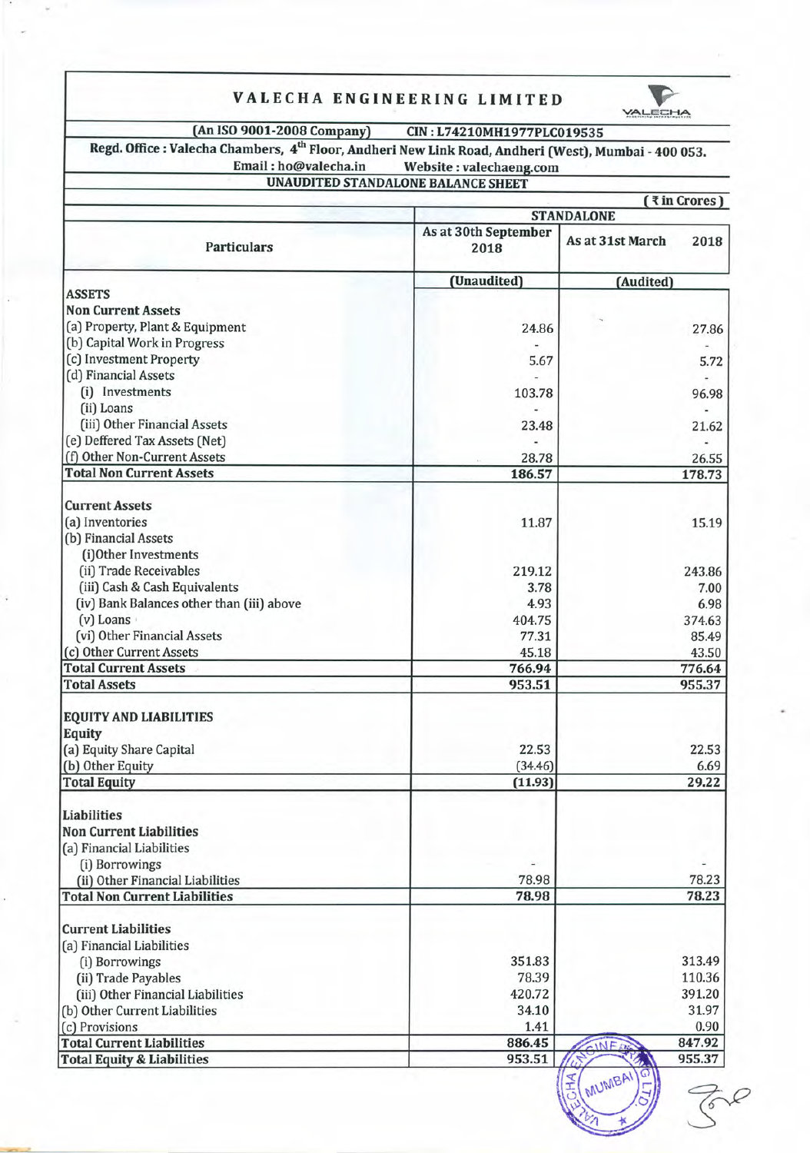## **VALECHA ENGINEERING LIMITED**



 $\frac{1}{2}$  MUMIC

 $\frac{1}{2}$ U<sub>NIC</sub>

~

 $\vec{\xi}$ 

**(An ISO 9001·2008 Company) CIN: L74210MH1977PLC019535**

**Regd. Office: Valecha Chambers, 4th Floor, Andheri New Link Road, Andheri (West), Mumbai . 400 053. Email : ho@valecha.in Website :**valechaeng.com

# **UNAUDITED STANDALONE BALANCE SHEET**

**( '{in Crores ) STANDALONE As at 30th September** Particulars **Particulars Particulars Particulars Particulars Particulars 2018** 

|                                           | (Unaudited) | (Audited) |
|-------------------------------------------|-------------|-----------|
| <b>ASSETS</b>                             |             |           |
| <b>Non Current Assets</b>                 |             |           |
| (a) Property, Plant & Equipment           | 24.86       | 27.86     |
| (b) Capital Work in Progress              |             |           |
| (c) Investment Property                   | 5.67        | 5.72      |
| (d) Financial Assets                      |             |           |
| (i) Investments                           | 103.78      | 96.98     |
| (ii) Loans                                |             |           |
| (iii) Other Financial Assets              | 23.48       | 21.62     |
| (e) Deffered Tax Assets (Net)             |             |           |
| (f) Other Non-Current Assets              | 28.78       | 26.55     |
| <b>Total Non Current Assets</b>           | 186.57      | 178.73    |
| <b>Current Assets</b>                     |             |           |
| (a) Inventories                           | 11.87       | 15.19     |
| (b) Financial Assets                      |             |           |
| (i)Other Investments                      |             |           |
| (ii) Trade Receivables                    | 219.12      | 243.86    |
| (iii) Cash & Cash Equivalents             | 3.78        | 7.00      |
| (iv) Bank Balances other than (iii) above | 4.93        | 6.98      |
| (v) Loans                                 | 404.75      | 374.63    |
| (vi) Other Financial Assets               | 77.31       | 85.49     |
| (c) Other Current Assets                  | 45.18       | 43.50     |
| <b>Total Current Assets</b>               | 766.94      | 776.64    |
| <b>Total Assets</b>                       | 953.51      | 955.37    |
|                                           |             |           |
| <b>EQUITY AND LIABILITIES</b>             |             |           |
| <b>Equity</b>                             |             |           |
| (a) Equity Share Capital                  | 22.53       | 22.53     |
| (b) Other Equity                          | (34.46)     | 6.69      |
| <b>Total Equity</b>                       | (11.93)     | 29.22     |
| <b>Liabilities</b>                        |             |           |
| <b>Non Current Liabilities</b>            |             |           |
| (a) Financial Liabilities                 |             |           |
| (i) Borrowings                            |             |           |
| (ii) Other Financial Liabilities          | 78.98       | 78.23     |
| <b>Total Non Current Liabilities</b>      | 78.98       | 78.23     |
| <b>Current Liabilities</b>                |             |           |
| (a) Financial Liabilities                 |             |           |
| (i) Borrowings                            | 351.83      | 313.49    |
| (ii) Trade Payables                       | 78.39       | 110.36    |
| (iii) Other Financial Liabilities         | 420.72      | 391.20    |
| (b) Other Current Liabilities             | 34.10       | 31.97     |
| (c) Provisions                            | 1.41        | 0.90      |
| <b>Total Current Liabilities</b>          | 886.45      | 847.92    |
| <b>Total Equity &amp; Liabilities</b>     | 953.51      | 955.37    |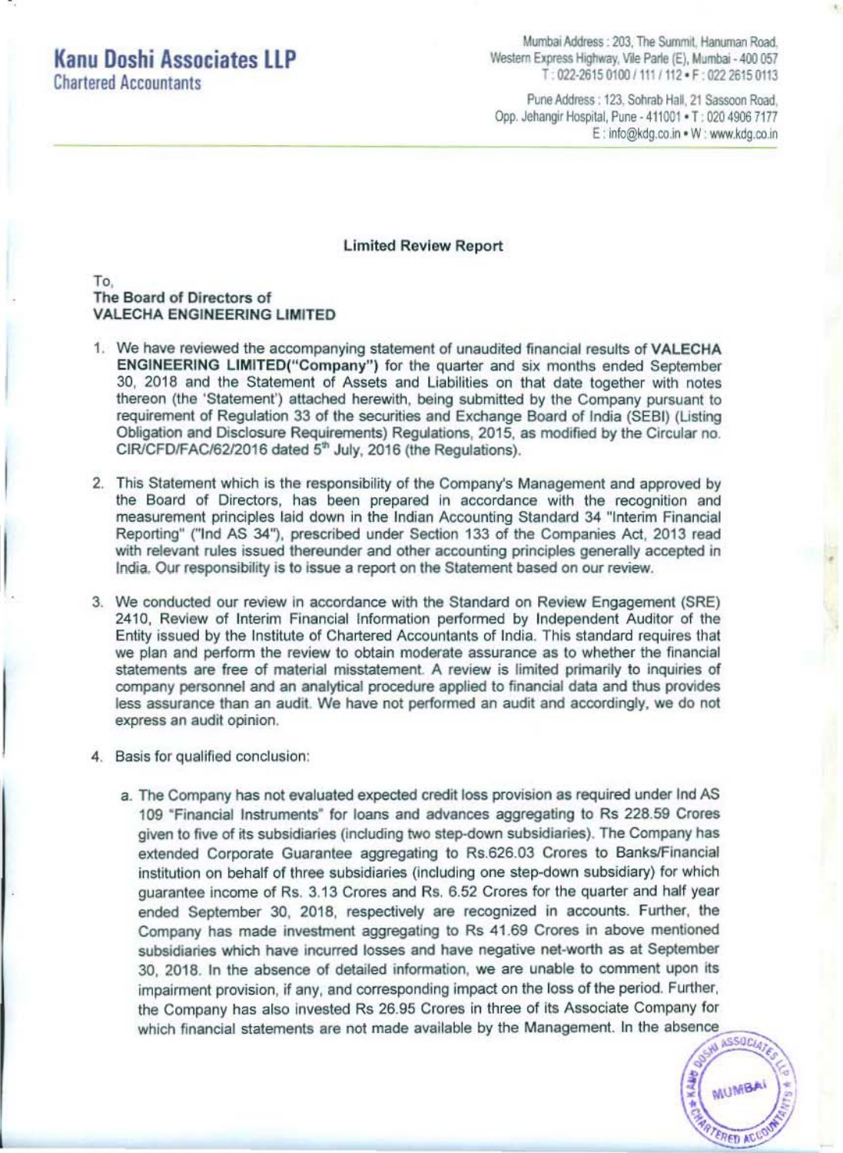## **Kanu Doshi Associates LLP Chartered Accountants**

Mumbai Address: 203, The Summit, Hanuman Road, Western Express Highway, Vile Parle (E), Mumbai - 400 057 T: 022-2615 0100 / 111 / 112 · F: 022 2615 0113

Pune Address: 123, Sohrab Hall, 21 Sassoon Road, Opp. Jehangir Hospital, Pune - 411001 . T: 020 4906 7177 E: info@kdg.co.in . W: www.kdg.co.in

## **Limited Review Report**

To. The Board of Directors of **VALECHA ENGINEERING LIMITED** 

- 1. We have reviewed the accompanying statement of unaudited financial results of VALECHA ENGINEERING LIMITED("Company") for the quarter and six months ended September 30, 2018 and the Statement of Assets and Liabilities on that date together with notes thereon (the 'Statement') attached herewith, being submitted by the Company pursuant to requirement of Regulation 33 of the securities and Exchange Board of India (SEBI) (Listing Obligation and Disclosure Requirements) Regulations, 2015, as modified by the Circular no. CIR/CFD/FAC/62/2016 dated 5<sup>th</sup> July, 2016 (the Regulations).
- 2. This Statement which is the responsibility of the Company's Management and approved by the Board of Directors, has been prepared in accordance with the recognition and measurement principles laid down in the Indian Accounting Standard 34 "Interim Financial Reporting" ("Ind AS 34"), prescribed under Section 133 of the Companies Act, 2013 read with relevant rules issued thereunder and other accounting principles generally accepted in India. Our responsibility is to issue a report on the Statement based on our review.
- 3. We conducted our review in accordance with the Standard on Review Engagement (SRE) 2410, Review of Interim Financial Information performed by Independent Auditor of the Entity issued by the Institute of Chartered Accountants of India. This standard requires that we plan and perform the review to obtain moderate assurance as to whether the financial statements are free of material misstatement. A review is limited primarily to inquiries of company personnel and an analytical procedure applied to financial data and thus provides less assurance than an audit. We have not performed an audit and accordingly, we do not express an audit opinion.
- 4. Basis for qualified conclusion:
	- a. The Company has not evaluated expected credit loss provision as required under Ind AS 109 "Financial Instruments" for loans and advances aggregating to Rs 228.59 Crores given to five of its subsidiaries (including two step-down subsidiaries). The Company has extended Corporate Guarantee aggregating to Rs.626.03 Crores to Banks/Financial institution on behalf of three subsidiaries (including one step-down subsidiary) for which quarantee income of Rs. 3.13 Crores and Rs. 6.52 Crores for the quarter and half year ended September 30, 2018, respectively are recognized in accounts. Further, the Company has made investment aggregating to Rs 41.69 Crores in above mentioned subsidiaries which have incurred losses and have negative net-worth as at September 30, 2018. In the absence of detailed information, we are unable to comment upon its impairment provision, if any, and corresponding impact on the loss of the period. Further, the Company has also invested Rs 26.95 Crores in three of its Associate Company for which financial statements are not made available by the Management. In the absence

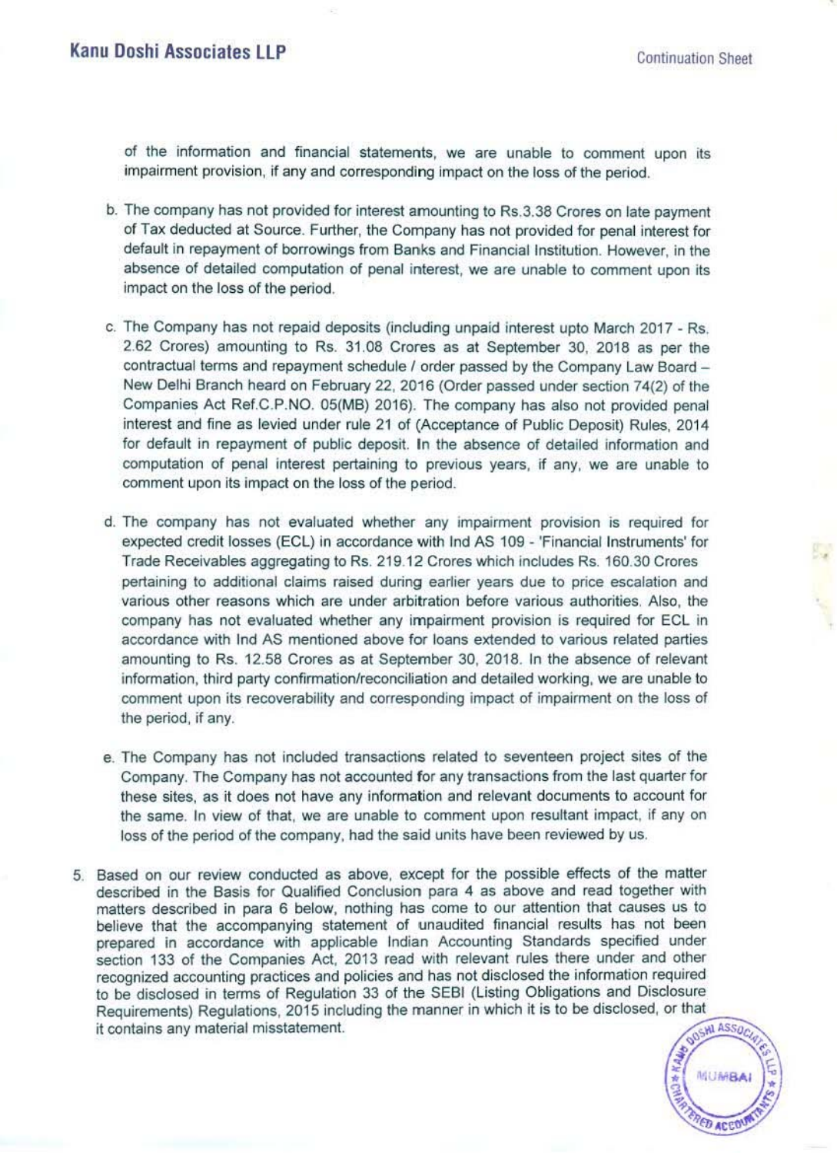of the information and financial statements, we are unable to comment upon its impairment provision, if any and corresponding impact on the loss of the period.

- b. The company has not provided for interest amounting to RS.3.38 Crores on late payment of Tax deducted at Source. Further, the Company has not provided for penal interest for default in repayment of borrowings from Banks and Financial Institution. However, in the absence of detailed computation of penal interest. we are unable to comment upon its impact on the loss of the period.
- c. The Company has not repaid deposits (including unpaid interest upto March 2017 Rs. 2.62 Crores) amounting to Rs. 31.08 Crores as at September 30. 2018 as per the contractual terms and repayment schedule / order passed by the Company Law Board -New Delhi Sranch heard on February 22, 2016 (Order passed under section 74(2) of the Companies Act Ref.C.P.NO. 05(MB) 2016). The company has also not provided penal interest and fine as levied under rule 21 of (Acceptance of Public Deposit) Rules. 2014 for default in repayment of public deposit. In the absence of detailed information and computation of penal interest pertaining to previous years, if any. we are unable to comment upon its impact on the loss of the period.
- d. The company has not evaluated whether any impairment provision is required for expected credit losses (ECl) in accordance with Ind AS 109 - 'Financial Instruments' for Trade Receivables aggregating to Rs. 219.12 Crores which includes Rs, 160.30 Crores pertaining to additional claims raised during earlier years due to price escalation and various other reasons which are under arbitration before various authorities. Also, the company has not evaluated whether any impairment provision is required for ECL in accordance with Ind AS mentioned above for loans extended to various related parties amounting to Rs. 12.58 Crores as at September 30, 2018. In the absence of relevant information, third party confirmation/reconciliation and detailed working, we are unable to comment upon its recoverability and corresponding impact of impairment on the loss of the period, if any.
- e. The Company has not included transactions related to seventeen project sites of the Company. The Company has not accounted for any transactions from the last quarter for these sites, as it does not have any information and relevant documents to account for the same. In view of that. we are unable to comment upon resultant impact. if any on loss of the period of the company, had the said units have been reviewed by us.
- 5. Based on our review conducted as above, except for the possible effects of the matter described in the Basis for Qualified Conclusion para 4 as above and read together with matters described in para 6 below, nothing has come to our attention that causes us to believe that the accompanying statement of unaudited financial results has not been prepared in accordance with applicable Indian Accounting Standards specified under section 133 of the Companies Act, 2013 read with relevant rules there under and other recognized accounting practices and policies and has not disclosed the information required to be disclosed in terms of Regulation 33 of the SESI (listing Obligations and Disclosure Requirements) Regulations, 2015 including the manner in which it is to be disclosed, or that it contains any material misstatement. it contains any material misstatement.



•